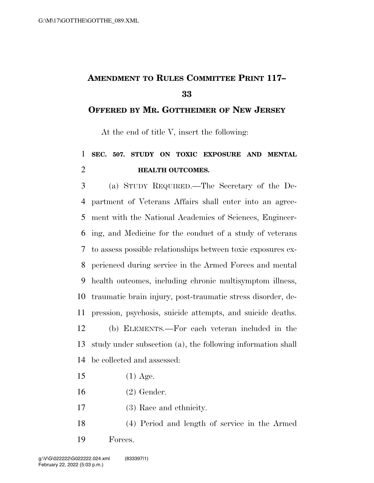## **AMENDMENT TO RULES COMMITTEE PRINT 117–**

## **OFFERED BY MR. GOTTHEIMER OF NEW JERSEY**

At the end of title V, insert the following:

## **SEC. 507. STUDY ON TOXIC EXPOSURE AND MENTAL HEALTH OUTCOMES.**

 (a) STUDY REQUIRED.—The Secretary of the De- partment of Veterans Affairs shall enter into an agree- ment with the National Academies of Sciences, Engineer- ing, and Medicine for the conduct of a study of veterans to assess possible relationships between toxic exposures ex- perienced during service in the Armed Forces and mental health outcomes, including chronic multisymptom illness, traumatic brain injury, post-traumatic stress disorder, de- pression, psychosis, suicide attempts, and suicide deaths. (b) ELEMENTS.—For each veteran included in the study under subsection (a), the following information shall be collected and assessed:

- (1) Age.
- (2) Gender.
- (3) Race and ethnicity.
- (4) Period and length of service in the Armed Forces.